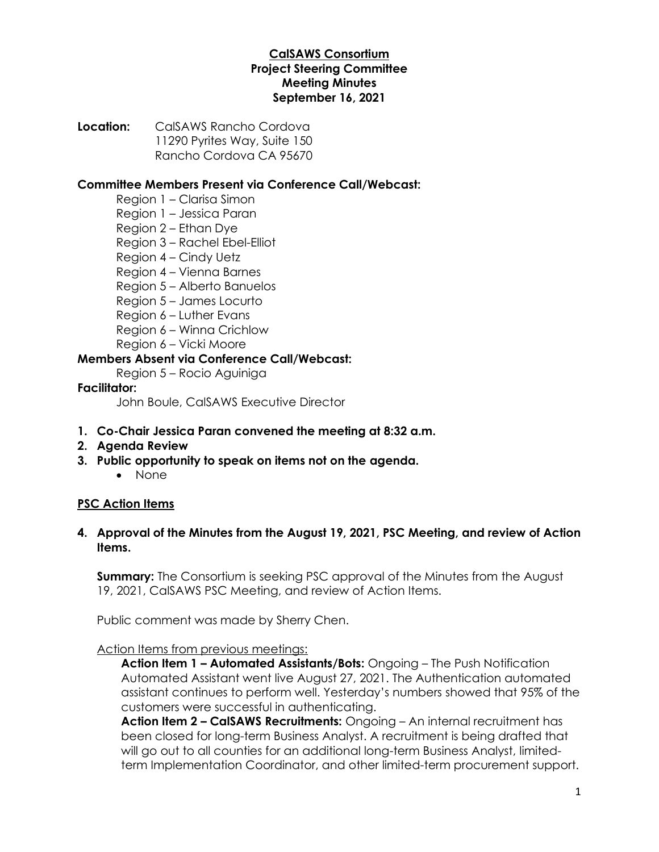## **CalSAWS Consortium Project Steering Committee Meeting Minutes September 16, 2021**

**Location:** CalSAWS Rancho Cordova 11290 Pyrites Way, Suite 150 Rancho Cordova CA 95670

## **Committee Members Present via Conference Call/Webcast:**

- Region 1 Clarisa Simon
- Region 1 Jessica Paran
- Region 2 Ethan Dye
- Region 3 Rachel Ebel-Elliot
- Region 4 Cindy Uetz
- Region 4 Vienna Barnes
- Region 5 Alberto Banuelos
- Region 5 James Locurto
- Region 6 Luther Evans
- Region 6 Winna Crichlow
- Region 6 Vicki Moore

## **Members Absent via Conference Call/Webcast:**

Region 5 – Rocio Aguiniga

### **Facilitator:**

John Boule, CalSAWS Executive Director

- **1. Co-Chair Jessica Paran convened the meeting at 8:32 a.m.**
- **2. Agenda Review**
- **3. Public opportunity to speak on items not on the agenda.**
	- None

## **PSC Action Items**

### **4. Approval of the Minutes from the August 19, 2021, PSC Meeting, and review of Action Items.**

**Summary:** The Consortium is seeking PSC approval of the Minutes from the August 19, 2021, CalSAWS PSC Meeting, and review of Action Items.

Public comment was made by Sherry Chen.

#### Action Items from previous meetings:

**Action Item 1 – Automated Assistants/Bots:** Ongoing – The Push Notification Automated Assistant went live August 27, 2021. The Authentication automated assistant continues to perform well. Yesterday's numbers showed that 95% of the customers were successful in authenticating.

**Action Item 2 – CalSAWS Recruitments:** Ongoing – An internal recruitment has been closed for long-term Business Analyst. A recruitment is being drafted that will go out to all counties for an additional long-term Business Analyst, limitedterm Implementation Coordinator, and other limited-term procurement support.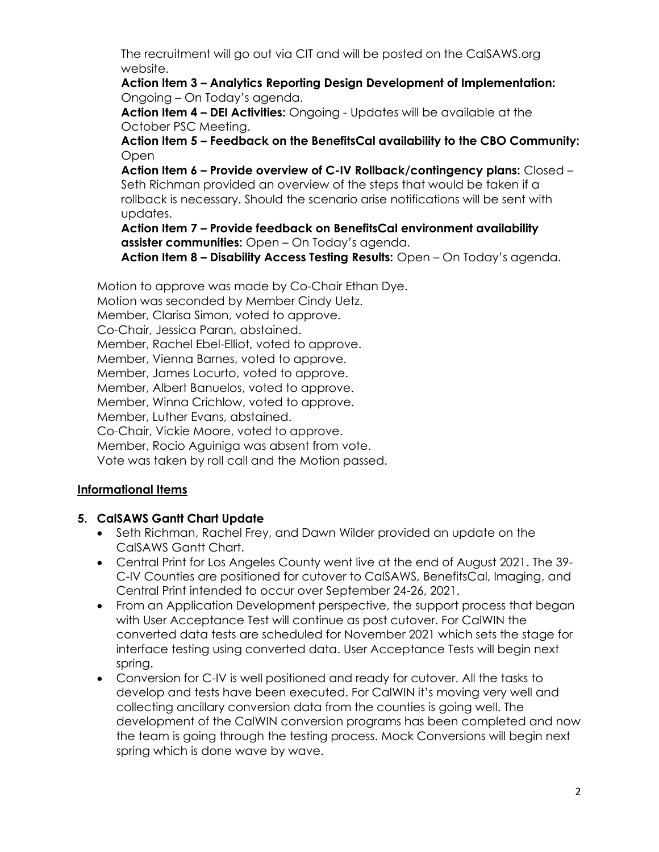The recruitment will go out via CIT and will be posted on the CalSAWS.org website.

**Action Item 3 – Analytics Reporting Design Development of Implementation:**  Ongoing – On Today's agenda.

**Action Item 4 – DEI Activities:** Ongoing - Updates will be available at the October PSC Meeting.

**Action Item 5 – Feedback on the BenefitsCal availability to the CBO Community: Open** 

**Action Item 6 – Provide overview of C-IV Rollback/contingency plans:** Closed – Seth Richman provided an overview of the steps that would be taken if a rollback is necessary. Should the scenario arise notifications will be sent with updates.

**Action Item 7 – Provide feedback on BenefitsCal environment availability assister communities:** Open – On Today's agenda.

**Action Item 8 – Disability Access Testing Results:** Open – On Today's agenda.

Motion to approve was made by Co-Chair Ethan Dye.

Motion was seconded by Member Cindy Uetz.

Member, Clarisa Simon, voted to approve.

Co-Chair, Jessica Paran, abstained.

Member, Rachel Ebel-Elliot, voted to approve.

Member, Vienna Barnes, voted to approve.

Member, James Locurto, voted to approve.

Member, Albert Banuelos, voted to approve.

Member, Winna Crichlow, voted to approve.

Member, Luther Evans, abstained.

Co-Chair, Vickie Moore, voted to approve.

Member, Rocio Aguiniga was absent from vote.

Vote was taken by roll call and the Motion passed.

## **Informational Items**

## **5. CalSAWS Gantt Chart Update**

- Seth Richman, Rachel Frey, and Dawn Wilder provided an update on the CalSAWS Gantt Chart.
- Central Print for Los Angeles County went live at the end of August 2021. The 39- C-IV Counties are positioned for cutover to CalSAWS, BenefitsCal, Imaging, and Central Print intended to occur over September 24-26, 2021.
- From an Application Development perspective, the support process that began with User Acceptance Test will continue as post cutover. For CalWIN the converted data tests are scheduled for November 2021 which sets the stage for interface testing using converted data. User Acceptance Tests will begin next spring.
- Conversion for C-IV is well positioned and ready for cutover. All the tasks to develop and tests have been executed. For CalWIN it's moving very well and collecting ancillary conversion data from the counties is going well. The development of the CalWIN conversion programs has been completed and now the team is going through the testing process. Mock Conversions will begin next spring which is done wave by wave.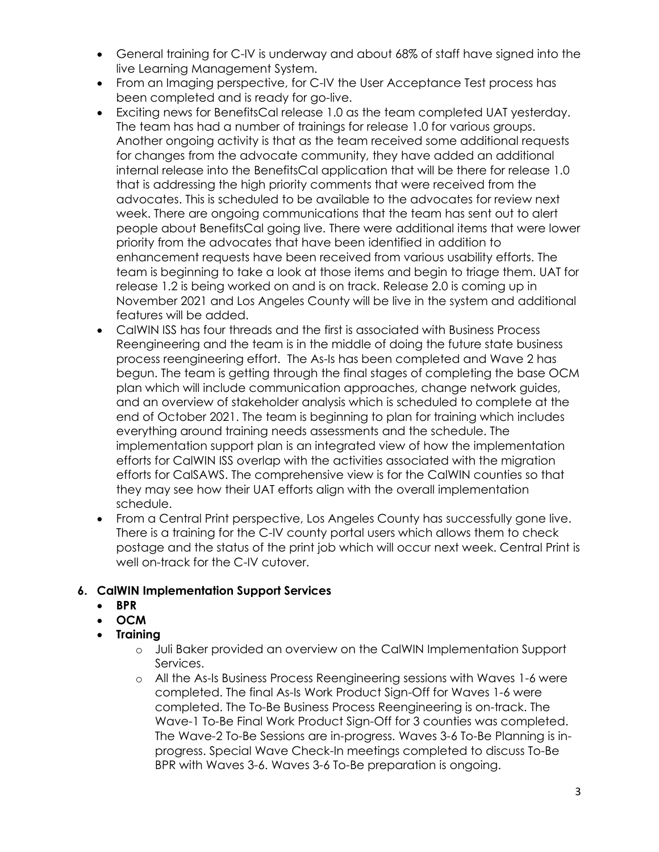- General training for C-IV is underway and about 68% of staff have signed into the live Learning Management System.
- From an Imaging perspective, for C-IV the User Acceptance Test process has been completed and is ready for go-live.
- Exciting news for BenefitsCal release 1.0 as the team completed UAT yesterday. The team has had a number of trainings for release 1.0 for various groups. Another ongoing activity is that as the team received some additional requests for changes from the advocate community, they have added an additional internal release into the BenefitsCal application that will be there for release 1.0 that is addressing the high priority comments that were received from the advocates. This is scheduled to be available to the advocates for review next week. There are ongoing communications that the team has sent out to alert people about BenefitsCal going live. There were additional items that were lower priority from the advocates that have been identified in addition to enhancement requests have been received from various usability efforts. The team is beginning to take a look at those items and begin to triage them. UAT for release 1.2 is being worked on and is on track. Release 2.0 is coming up in November 2021 and Los Angeles County will be live in the system and additional features will be added.
- CalWIN ISS has four threads and the first is associated with Business Process Reengineering and the team is in the middle of doing the future state business process reengineering effort. The As-Is has been completed and Wave 2 has begun. The team is getting through the final stages of completing the base OCM plan which will include communication approaches, change network guides, and an overview of stakeholder analysis which is scheduled to complete at the end of October 2021. The team is beginning to plan for training which includes everything around training needs assessments and the schedule. The implementation support plan is an integrated view of how the implementation efforts for CalWIN ISS overlap with the activities associated with the migration efforts for CalSAWS. The comprehensive view is for the CalWIN counties so that they may see how their UAT efforts align with the overall implementation schedule.
- From a Central Print perspective, Los Angeles County has successfully gone live. There is a training for the C-IV county portal users which allows them to check postage and the status of the print job which will occur next week. Central Print is well on-track for the C-IV cutover.

# **6. CalWIN Implementation Support Services**

- **BPR**
- **OCM**
- **Training**
	- o Juli Baker provided an overview on the CalWIN Implementation Support Services.
	- o All the As-Is Business Process Reengineering sessions with Waves 1-6 were completed. The final As-Is Work Product Sign-Off for Waves 1-6 were completed. The To-Be Business Process Reengineering is on-track. The Wave-1 To-Be Final Work Product Sign-Off for 3 counties was completed. The Wave-2 To-Be Sessions are in-progress. Waves 3-6 To-Be Planning is inprogress. Special Wave Check-In meetings completed to discuss To-Be BPR with Waves 3-6. Waves 3-6 To-Be preparation is ongoing.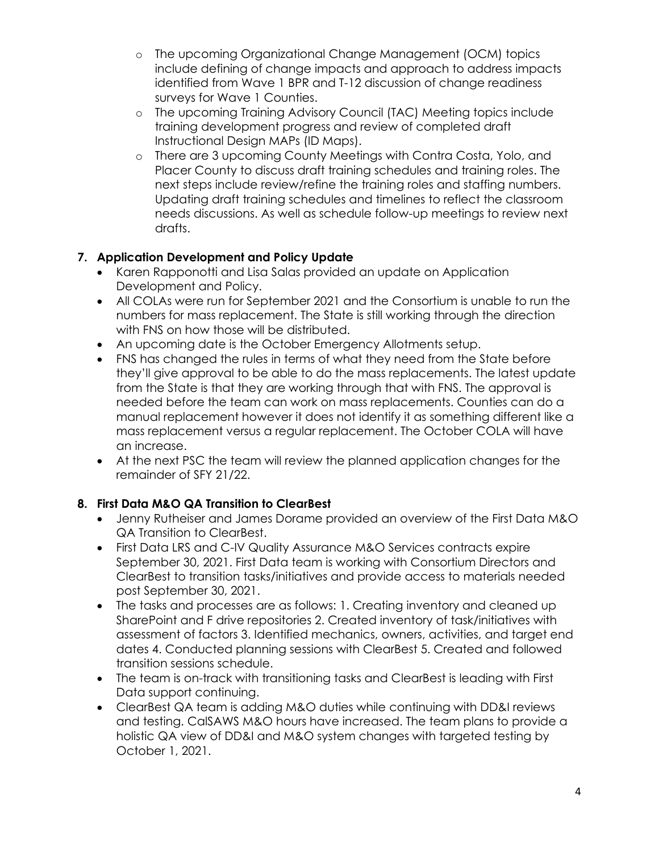- o The upcoming Organizational Change Management (OCM) topics include defining of change impacts and approach to address impacts identified from Wave 1 BPR and T-12 discussion of change readiness surveys for Wave 1 Counties.
- o The upcoming Training Advisory Council (TAC) Meeting topics include training development progress and review of completed draft Instructional Design MAPs (ID Maps).
- o There are 3 upcoming County Meetings with Contra Costa, Yolo, and Placer County to discuss draft training schedules and training roles. The next steps include review/refine the training roles and staffing numbers. Updating draft training schedules and timelines to reflect the classroom needs discussions. As well as schedule follow-up meetings to review next drafts.

# **7. Application Development and Policy Update**

- Karen Rapponotti and Lisa Salas provided an update on Application Development and Policy.
- All COLAs were run for September 2021 and the Consortium is unable to run the numbers for mass replacement. The State is still working through the direction with FNS on how those will be distributed.
- An upcoming date is the October Emergency Allotments setup.
- FNS has changed the rules in terms of what they need from the State before they'll give approval to be able to do the mass replacements. The latest update from the State is that they are working through that with FNS. The approval is needed before the team can work on mass replacements. Counties can do a manual replacement however it does not identify it as something different like a mass replacement versus a regular replacement. The October COLA will have an increase.
- At the next PSC the team will review the planned application changes for the remainder of SFY 21/22.

# **8. First Data M&O QA Transition to ClearBest**

- Jenny Rutheiser and James Dorame provided an overview of the First Data M&O QA Transition to ClearBest.
- First Data LRS and C-IV Quality Assurance M&O Services contracts expire September 30, 2021. First Data team is working with Consortium Directors and ClearBest to transition tasks/initiatives and provide access to materials needed post September 30, 2021.
- The tasks and processes are as follows: 1. Creating inventory and cleaned up SharePoint and F drive repositories 2. Created inventory of task/initiatives with assessment of factors 3. Identified mechanics, owners, activities, and target end dates 4. Conducted planning sessions with ClearBest 5. Created and followed transition sessions schedule.
- The team is on-track with transitioning tasks and ClearBest is leading with First Data support continuing.
- ClearBest QA team is adding M&O duties while continuing with DD&I reviews and testing. CalSAWS M&O hours have increased. The team plans to provide a holistic QA view of DD&I and M&O system changes with targeted testing by October 1, 2021.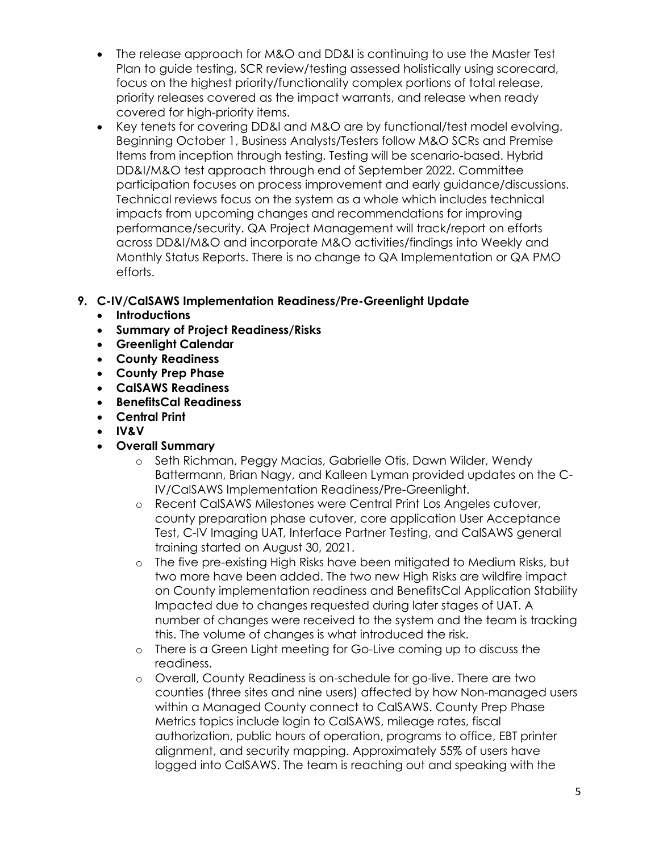- The release approach for M&O and DD&I is continuing to use the Master Test Plan to guide testing, SCR review/testing assessed holistically using scorecard, focus on the highest priority/functionality complex portions of total release, priority releases covered as the impact warrants, and release when ready covered for high-priority items.
- Key tenets for covering DD&I and M&O are by functional/test model evolving. Beginning October 1, Business Analysts/Testers follow M&O SCRs and Premise Items from inception through testing. Testing will be scenario-based. Hybrid DD&I/M&O test approach through end of September 2022. Committee participation focuses on process improvement and early guidance/discussions. Technical reviews focus on the system as a whole which includes technical impacts from upcoming changes and recommendations for improving performance/security. QA Project Management will track/report on efforts across DD&I/M&O and incorporate M&O activities/findings into Weekly and Monthly Status Reports. There is no change to QA Implementation or QA PMO efforts.

# **9. C-IV/CalSAWS Implementation Readiness/Pre-Greenlight Update**

- **Introductions**
- **Summary of Project Readiness/Risks**
- **Greenlight Calendar**
- **County Readiness**
- **County Prep Phase**
- **CalSAWS Readiness**
- **BenefitsCal Readiness**
- **Central Print**
- **IV&V**
- **Overall Summary**
	- o Seth Richman, Peggy Macias, Gabrielle Otis, Dawn Wilder, Wendy Battermann, Brian Nagy, and Kalleen Lyman provided updates on the C-IV/CalSAWS Implementation Readiness/Pre-Greenlight.
	- o Recent CalSAWS Milestones were Central Print Los Angeles cutover, county preparation phase cutover, core application User Acceptance Test, C-IV Imaging UAT, Interface Partner Testing, and CalSAWS general training started on August 30, 2021.
	- o The five pre-existing High Risks have been mitigated to Medium Risks, but two more have been added. The two new High Risks are wildfire impact on County implementation readiness and BenefitsCal Application Stability Impacted due to changes requested during later stages of UAT. A number of changes were received to the system and the team is tracking this. The volume of changes is what introduced the risk.
	- o There is a Green Light meeting for Go-Live coming up to discuss the readiness.
	- o Overall, County Readiness is on-schedule for go-live. There are two counties (three sites and nine users) affected by how Non-managed users within a Managed County connect to CalSAWS. County Prep Phase Metrics topics include login to CalSAWS, mileage rates, fiscal authorization, public hours of operation, programs to office, EBT printer alignment, and security mapping. Approximately 55% of users have logged into CalSAWS. The team is reaching out and speaking with the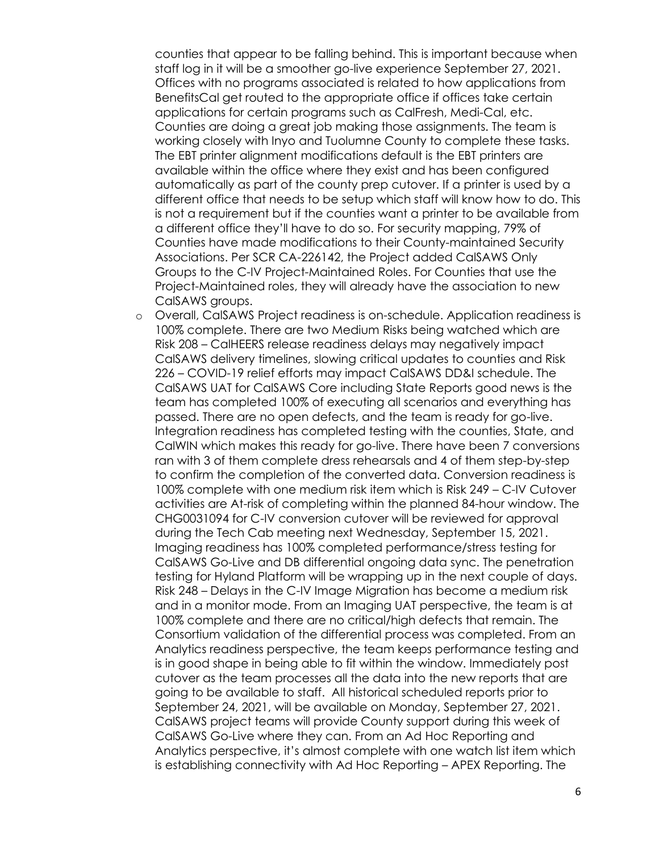counties that appear to be falling behind. This is important because when staff log in it will be a smoother go-live experience September 27, 2021. Offices with no programs associated is related to how applications from BenefitsCal get routed to the appropriate office if offices take certain applications for certain programs such as CalFresh, Medi-Cal, etc. Counties are doing a great job making those assignments. The team is working closely with Inyo and Tuolumne County to complete these tasks. The EBT printer alignment modifications default is the EBT printers are available within the office where they exist and has been configured automatically as part of the county prep cutover. If a printer is used by a different office that needs to be setup which staff will know how to do. This is not a requirement but if the counties want a printer to be available from a different office they'll have to do so. For security mapping, 79% of Counties have made modifications to their County-maintained Security Associations. Per SCR CA-226142, the Project added CalSAWS Only Groups to the C-IV Project-Maintained Roles. For Counties that use the Project-Maintained roles, they will already have the association to new CalSAWS groups.

o Overall, CalSAWS Project readiness is on-schedule. Application readiness is 100% complete. There are two Medium Risks being watched which are Risk 208 – CalHEERS release readiness delays may negatively impact CalSAWS delivery timelines, slowing critical updates to counties and Risk 226 – COVID-19 relief efforts may impact CalSAWS DD&I schedule. The CalSAWS UAT for CalSAWS Core including State Reports good news is the team has completed 100% of executing all scenarios and everything has passed. There are no open defects, and the team is ready for go-live. Integration readiness has completed testing with the counties, State, and CalWIN which makes this ready for go-live. There have been 7 conversions ran with 3 of them complete dress rehearsals and 4 of them step-by-step to confirm the completion of the converted data. Conversion readiness is 100% complete with one medium risk item which is Risk 249 – C-IV Cutover activities are At-risk of completing within the planned 84-hour window. The CHG0031094 for C-IV conversion cutover will be reviewed for approval during the Tech Cab meeting next Wednesday, September 15, 2021. Imaging readiness has 100% completed performance/stress testing for CalSAWS Go-Live and DB differential ongoing data sync. The penetration testing for Hyland Platform will be wrapping up in the next couple of days. Risk 248 – Delays in the C-IV Image Migration has become a medium risk and in a monitor mode. From an Imaging UAT perspective, the team is at 100% complete and there are no critical/high defects that remain. The Consortium validation of the differential process was completed. From an Analytics readiness perspective, the team keeps performance testing and is in good shape in being able to fit within the window. Immediately post cutover as the team processes all the data into the new reports that are going to be available to staff. All historical scheduled reports prior to September 24, 2021, will be available on Monday, September 27, 2021. CalSAWS project teams will provide County support during this week of CalSAWS Go-Live where they can. From an Ad Hoc Reporting and Analytics perspective, it's almost complete with one watch list item which is establishing connectivity with Ad Hoc Reporting – APEX Reporting. The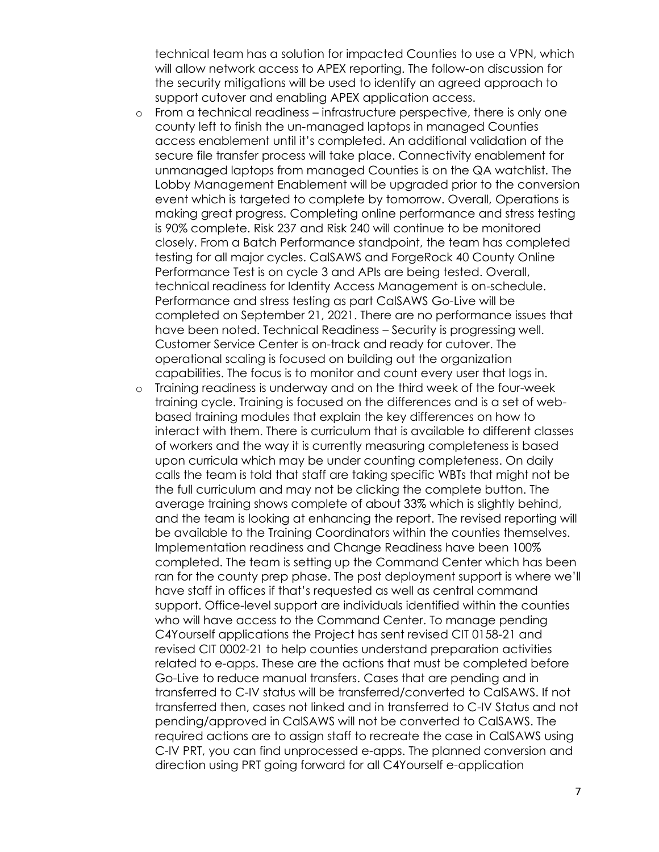technical team has a solution for impacted Counties to use a VPN, which will allow network access to APEX reporting. The follow-on discussion for the security mitigations will be used to identify an agreed approach to support cutover and enabling APEX application access.

- o From a technical readiness infrastructure perspective, there is only one county left to finish the un-managed laptops in managed Counties access enablement until it's completed. An additional validation of the secure file transfer process will take place. Connectivity enablement for unmanaged laptops from managed Counties is on the QA watchlist. The Lobby Management Enablement will be upgraded prior to the conversion event which is targeted to complete by tomorrow. Overall, Operations is making great progress. Completing online performance and stress testing is 90% complete. Risk 237 and Risk 240 will continue to be monitored closely. From a Batch Performance standpoint, the team has completed testing for all major cycles. CalSAWS and ForgeRock 40 County Online Performance Test is on cycle 3 and APIs are being tested. Overall, technical readiness for Identity Access Management is on-schedule. Performance and stress testing as part CalSAWS Go-Live will be completed on September 21, 2021. There are no performance issues that have been noted. Technical Readiness – Security is progressing well. Customer Service Center is on-track and ready for cutover. The operational scaling is focused on building out the organization capabilities. The focus is to monitor and count every user that logs in.
- o Training readiness is underway and on the third week of the four-week training cycle. Training is focused on the differences and is a set of webbased training modules that explain the key differences on how to interact with them. There is curriculum that is available to different classes of workers and the way it is currently measuring completeness is based upon curricula which may be under counting completeness. On daily calls the team is told that staff are taking specific WBTs that might not be the full curriculum and may not be clicking the complete button. The average training shows complete of about 33% which is slightly behind, and the team is looking at enhancing the report. The revised reporting will be available to the Training Coordinators within the counties themselves. Implementation readiness and Change Readiness have been 100% completed. The team is setting up the Command Center which has been ran for the county prep phase. The post deployment support is where we'll have staff in offices if that's requested as well as central command support. Office-level support are individuals identified within the counties who will have access to the Command Center. To manage pending C4Yourself applications the Project has sent revised CIT 0158-21 and revised CIT 0002-21 to help counties understand preparation activities related to e-apps. These are the actions that must be completed before Go-Live to reduce manual transfers. Cases that are pending and in transferred to C-IV status will be transferred/converted to CalSAWS. If not transferred then, cases not linked and in transferred to C-IV Status and not pending/approved in CalSAWS will not be converted to CalSAWS. The required actions are to assign staff to recreate the case in CalSAWS using C-IV PRT, you can find unprocessed e-apps. The planned conversion and direction using PRT going forward for all C4Yourself e-application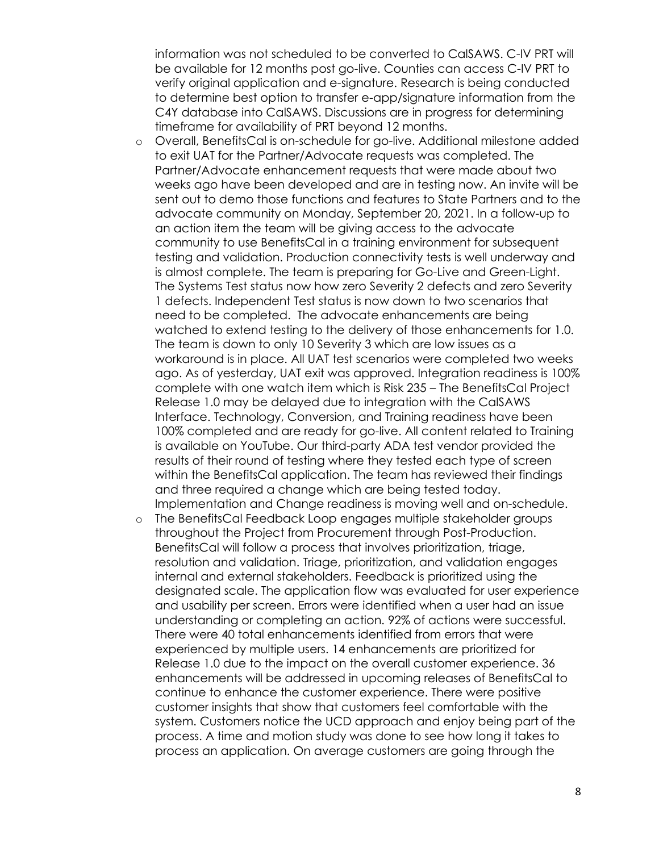information was not scheduled to be converted to CalSAWS. C-IV PRT will be available for 12 months post go-live. Counties can access C-IV PRT to verify original application and e-signature. Research is being conducted to determine best option to transfer e-app/signature information from the C4Y database into CalSAWS. Discussions are in progress for determining timeframe for availability of PRT beyond 12 months.

- o Overall, BenefitsCal is on-schedule for go-live. Additional milestone added to exit UAT for the Partner/Advocate requests was completed. The Partner/Advocate enhancement requests that were made about two weeks ago have been developed and are in testing now. An invite will be sent out to demo those functions and features to State Partners and to the advocate community on Monday, September 20, 2021. In a follow-up to an action item the team will be giving access to the advocate community to use BenefitsCal in a training environment for subsequent testing and validation. Production connectivity tests is well underway and is almost complete. The team is preparing for Go-Live and Green-Light. The Systems Test status now how zero Severity 2 defects and zero Severity 1 defects. Independent Test status is now down to two scenarios that need to be completed. The advocate enhancements are being watched to extend testing to the delivery of those enhancements for 1.0. The team is down to only 10 Severity 3 which are low issues as a workaround is in place. All UAT test scenarios were completed two weeks ago. As of yesterday, UAT exit was approved. Integration readiness is 100% complete with one watch item which is Risk 235 – The BenefitsCal Project Release 1.0 may be delayed due to integration with the CalSAWS Interface. Technology, Conversion, and Training readiness have been 100% completed and are ready for go-live. All content related to Training is available on YouTube. Our third-party ADA test vendor provided the results of their round of testing where they tested each type of screen within the BenefitsCal application. The team has reviewed their findings and three required a change which are being tested today. Implementation and Change readiness is moving well and on-schedule.
- o The BenefitsCal Feedback Loop engages multiple stakeholder groups throughout the Project from Procurement through Post-Production. BenefitsCal will follow a process that involves prioritization, triage, resolution and validation. Triage, prioritization, and validation engages internal and external stakeholders. Feedback is prioritized using the designated scale. The application flow was evaluated for user experience and usability per screen. Errors were identified when a user had an issue understanding or completing an action. 92% of actions were successful. There were 40 total enhancements identified from errors that were experienced by multiple users. 14 enhancements are prioritized for Release 1.0 due to the impact on the overall customer experience. 36 enhancements will be addressed in upcoming releases of BenefitsCal to continue to enhance the customer experience. There were positive customer insights that show that customers feel comfortable with the system. Customers notice the UCD approach and enjoy being part of the process. A time and motion study was done to see how long it takes to process an application. On average customers are going through the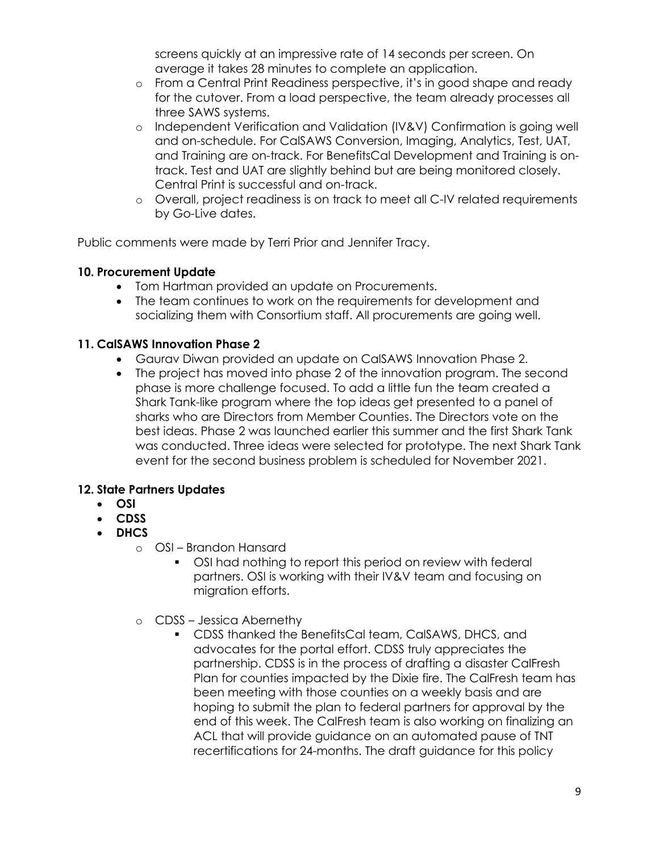screens quickly at an impressive rate of 14 seconds per screen. On average it takes 28 minutes to complete an application.

- o From a Central Print Readiness perspective, it's in good shape and ready for the cutover. From a load perspective, the team already processes all three SAWS systems.
- o Independent Verification and Validation (IV&V) Confirmation is going well and on-schedule. For CalSAWS Conversion, Imaging, Analytics, Test, UAT, and Training are on-track. For BenefitsCal Development and Training is ontrack. Test and UAT are slightly behind but are being monitored closely. Central Print is successful and on-track.
- o Overall, project readiness is on track to meet all C-IV related requirements by Go-Live dates.

Public comments were made by Terri Prior and Jennifer Tracy.

### **10. Procurement Update**

- Tom Hartman provided an update on Procurements.
- The team continues to work on the requirements for development and socializing them with Consortium staff. All procurements are going well.

### **11. CalSAWS Innovation Phase 2**

- Gaurav Diwan provided an update on CalSAWS Innovation Phase 2.
- The project has moved into phase 2 of the innovation program. The second phase is more challenge focused. To add a little fun the team created a Shark Tank-like program where the top ideas get presented to a panel of sharks who are Directors from Member Counties. The Directors vote on the best ideas. Phase 2 was launched earlier this summer and the first Shark Tank was conducted. Three ideas were selected for prototype. The next Shark Tank event for the second business problem is scheduled for November 2021.

## **12. State Partners Updates**

- **OSI**
- **CDSS**
- **DHCS**
	- o OSI Brandon Hansard
		- OSI had nothing to report this period on review with federal partners. OSI is working with their IV&V team and focusing on migration efforts.
	- o CDSS Jessica Abernethy
		- CDSS thanked the BenefitsCal team, CalSAWS, DHCS, and advocates for the portal effort. CDSS truly appreciates the partnership. CDSS is in the process of drafting a disaster CalFresh Plan for counties impacted by the Dixie fire. The CalFresh team has been meeting with those counties on a weekly basis and are hoping to submit the plan to federal partners for approval by the end of this week. The CalFresh team is also working on finalizing an ACL that will provide guidance on an automated pause of TNT recertifications for 24-months. The draft guidance for this policy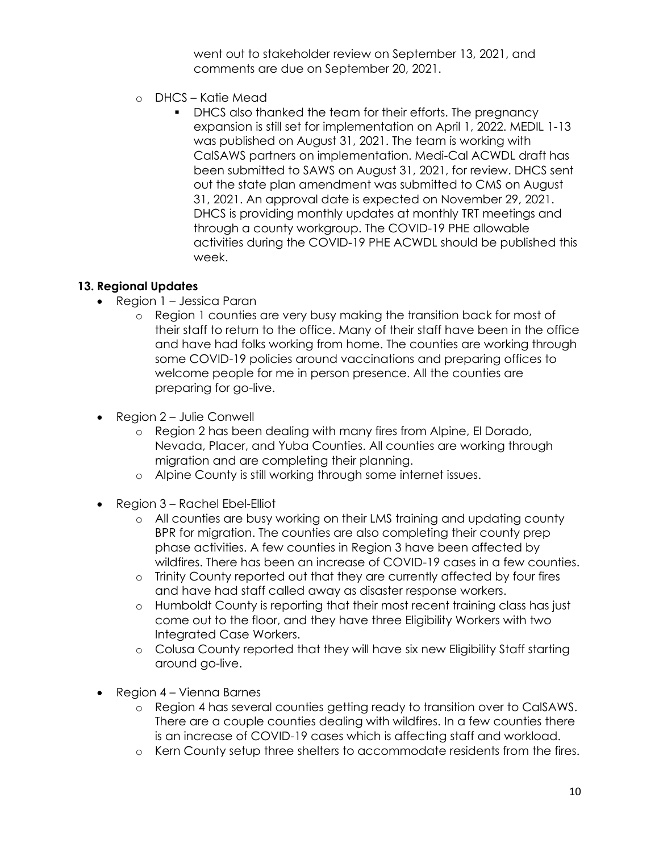went out to stakeholder review on September 13, 2021, and comments are due on September 20, 2021.

- o DHCS Katie Mead
	- DHCS also thanked the team for their efforts. The pregnancy expansion is still set for implementation on April 1, 2022. MEDIL 1-13 was published on August 31, 2021. The team is working with CalSAWS partners on implementation. Medi-Cal ACWDL draft has been submitted to SAWS on August 31, 2021, for review. DHCS sent out the state plan amendment was submitted to CMS on August 31, 2021. An approval date is expected on November 29, 2021. DHCS is providing monthly updates at monthly TRT meetings and through a county workgroup. The COVID-19 PHE allowable activities during the COVID-19 PHE ACWDL should be published this week.

# **13. Regional Updates**

- Region 1 Jessica Paran
	- o Region 1 counties are very busy making the transition back for most of their staff to return to the office. Many of their staff have been in the office and have had folks working from home. The counties are working through some COVID-19 policies around vaccinations and preparing offices to welcome people for me in person presence. All the counties are preparing for go-live.
- Region 2 Julie Conwell
	- o Region 2 has been dealing with many fires from Alpine, El Dorado, Nevada, Placer, and Yuba Counties. All counties are working through migration and are completing their planning.
	- o Alpine County is still working through some internet issues.
- Region 3 Rachel Ebel-Elliot
	- o All counties are busy working on their LMS training and updating county BPR for migration. The counties are also completing their county prep phase activities. A few counties in Region 3 have been affected by wildfires. There has been an increase of COVID-19 cases in a few counties.
	- o Trinity County reported out that they are currently affected by four fires and have had staff called away as disaster response workers.
	- o Humboldt County is reporting that their most recent training class has just come out to the floor, and they have three Eligibility Workers with two Integrated Case Workers.
	- o Colusa County reported that they will have six new Eligibility Staff starting around go-live.
- Region 4 Vienna Barnes
	- o Region 4 has several counties getting ready to transition over to CalSAWS. There are a couple counties dealing with wildfires. In a few counties there is an increase of COVID-19 cases which is affecting staff and workload.
	- o Kern County setup three shelters to accommodate residents from the fires.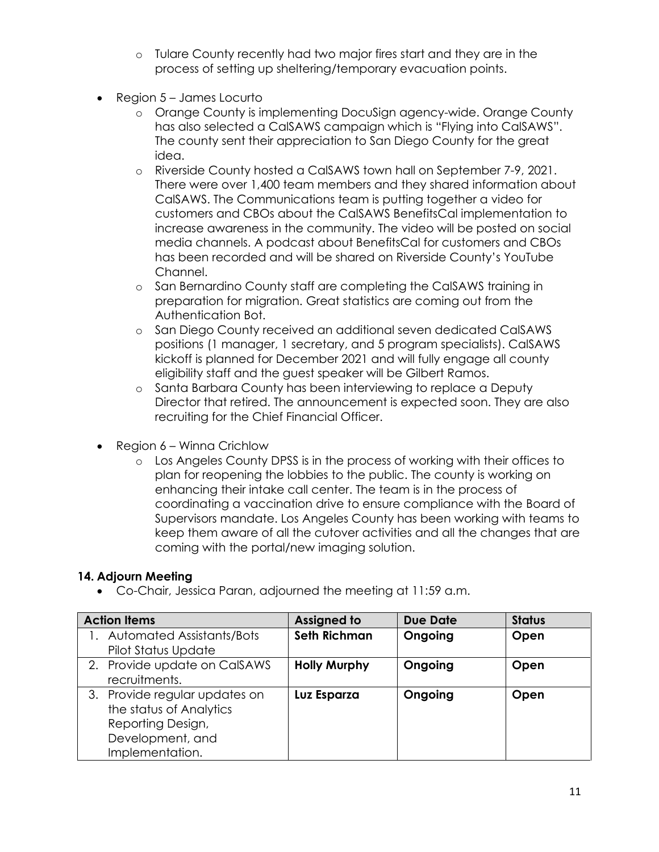- o Tulare County recently had two major fires start and they are in the process of setting up sheltering/temporary evacuation points.
- Region 5 James Locurto
	- o Orange County is implementing DocuSign agency-wide. Orange County has also selected a CalSAWS campaign which is "Flying into CalSAWS". The county sent their appreciation to San Diego County for the great idea.
	- o Riverside County hosted a CalSAWS town hall on September 7-9, 2021. There were over 1,400 team members and they shared information about CalSAWS. The Communications team is putting together a video for customers and CBOs about the CalSAWS BenefitsCal implementation to increase awareness in the community. The video will be posted on social media channels. A podcast about BenefitsCal for customers and CBOs has been recorded and will be shared on Riverside County's YouTube Channel.
	- o San Bernardino County staff are completing the CalSAWS training in preparation for migration. Great statistics are coming out from the Authentication Bot.
	- o San Diego County received an additional seven dedicated CalSAWS positions (1 manager, 1 secretary, and 5 program specialists). CalSAWS kickoff is planned for December 2021 and will fully engage all county eligibility staff and the guest speaker will be Gilbert Ramos.
	- o Santa Barbara County has been interviewing to replace a Deputy Director that retired. The announcement is expected soon. They are also recruiting for the Chief Financial Officer.
- Region 6 Winna Crichlow
	- o Los Angeles County DPSS is in the process of working with their offices to plan for reopening the lobbies to the public. The county is working on enhancing their intake call center. The team is in the process of coordinating a vaccination drive to ensure compliance with the Board of Supervisors mandate. Los Angeles County has been working with teams to keep them aware of all the cutover activities and all the changes that are coming with the portal/new imaging solution.

## **14. Adjourn Meeting**

• Co-Chair, Jessica Paran, adjourned the meeting at 11:59 a.m.

| <b>Action Items</b>              | <b>Assigned to</b>  | <b>Due Date</b> | <b>Status</b> |
|----------------------------------|---------------------|-----------------|---------------|
| <b>Automated Assistants/Bots</b> | Seth Richman        | Ongoing         | Open          |
| Pilot Status Update              |                     |                 |               |
| 2. Provide update on CalSAWS     | <b>Holly Murphy</b> | Ongoing         | Open          |
| recruitments.                    |                     |                 |               |
| 3. Provide regular updates on    | Luz Esparza         | Ongoing         | Open          |
| the status of Analytics          |                     |                 |               |
| Reporting Design,                |                     |                 |               |
| Development, and                 |                     |                 |               |
| Implementation.                  |                     |                 |               |